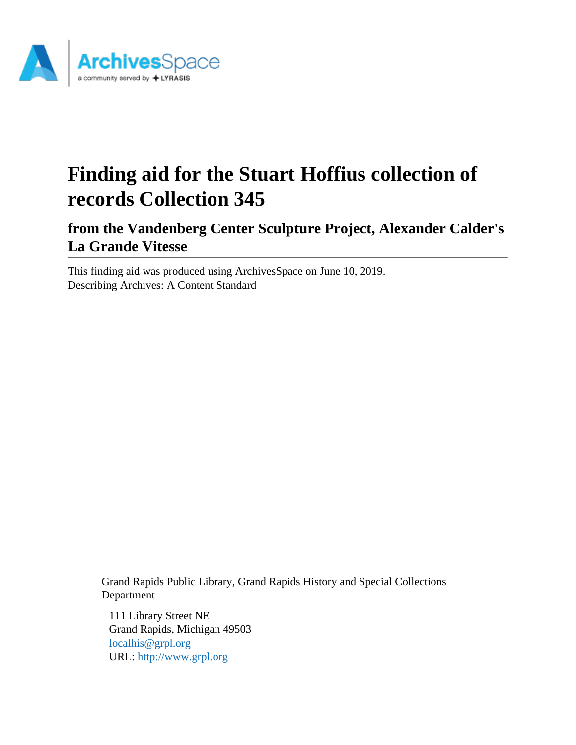

# **Finding aid for the Stuart Hoffius collection of records Collection 345**

**from the Vandenberg Center Sculpture Project, Alexander Calder's La Grande Vitesse**

This finding aid was produced using ArchivesSpace on June 10, 2019. Describing Archives: A Content Standard

> Grand Rapids Public Library, Grand Rapids History and Special Collections Department

111 Library Street NE Grand Rapids, Michigan 49503 [localhis@grpl.org](mailto:localhis@grpl.org) URL:<http://www.grpl.org>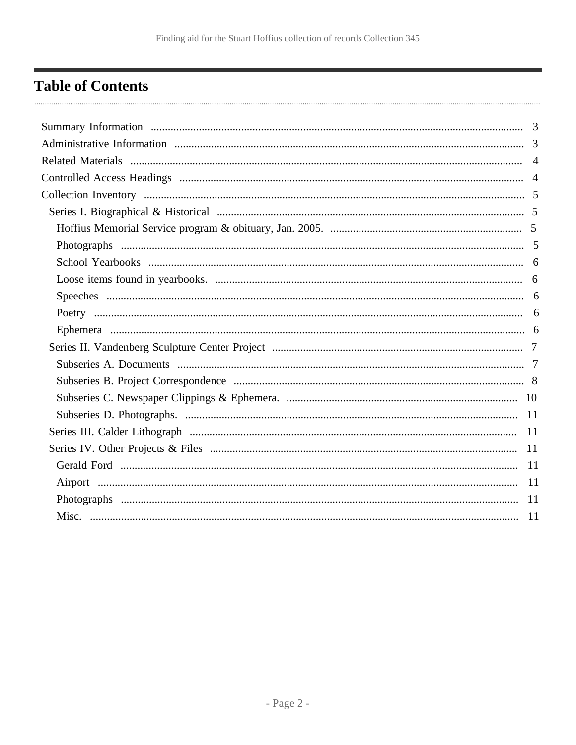# <span id="page-1-0"></span>**Table of Contents**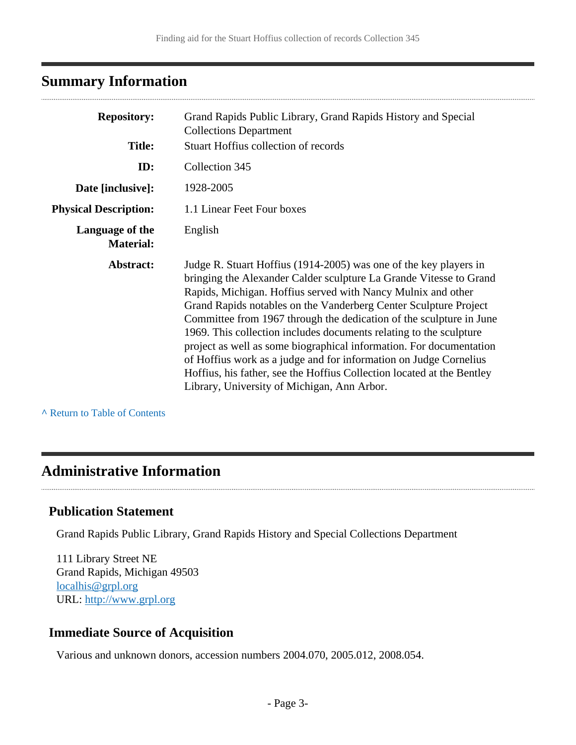# <span id="page-2-0"></span>**Summary Information**

| <b>Repository:</b><br>Grand Rapids Public Library, Grand Rapids History and Special<br><b>Collections Department</b> |                                                                                                                                                                                                                                                                                                                                                                                                                                                                                                                                                                                                                                                                                               |
|----------------------------------------------------------------------------------------------------------------------|-----------------------------------------------------------------------------------------------------------------------------------------------------------------------------------------------------------------------------------------------------------------------------------------------------------------------------------------------------------------------------------------------------------------------------------------------------------------------------------------------------------------------------------------------------------------------------------------------------------------------------------------------------------------------------------------------|
| <b>Title:</b>                                                                                                        | <b>Stuart Hoffius collection of records</b>                                                                                                                                                                                                                                                                                                                                                                                                                                                                                                                                                                                                                                                   |
| ID:                                                                                                                  | Collection 345                                                                                                                                                                                                                                                                                                                                                                                                                                                                                                                                                                                                                                                                                |
| Date [inclusive]:                                                                                                    | 1928-2005                                                                                                                                                                                                                                                                                                                                                                                                                                                                                                                                                                                                                                                                                     |
| <b>Physical Description:</b>                                                                                         | 1.1 Linear Feet Four boxes                                                                                                                                                                                                                                                                                                                                                                                                                                                                                                                                                                                                                                                                    |
| Language of the<br><b>Material:</b>                                                                                  | English                                                                                                                                                                                                                                                                                                                                                                                                                                                                                                                                                                                                                                                                                       |
| Abstract:                                                                                                            | Judge R. Stuart Hoffius (1914-2005) was one of the key players in<br>bringing the Alexander Calder sculpture La Grande Vitesse to Grand<br>Rapids, Michigan. Hoffius served with Nancy Mulnix and other<br>Grand Rapids notables on the Vanderberg Center Sculpture Project<br>Committee from 1967 through the dedication of the sculpture in June<br>1969. This collection includes documents relating to the sculpture<br>project as well as some biographical information. For documentation<br>of Hoffius work as a judge and for information on Judge Cornelius<br>Hoffius, his father, see the Hoffius Collection located at the Bentley<br>Library, University of Michigan, Ann Arbor. |

**^** [Return to Table of Contents](#page-1-0)

# <span id="page-2-1"></span>**Administrative Information**

### **Publication Statement**

. . . . . . . . . . . . . . . .

Grand Rapids Public Library, Grand Rapids History and Special Collections Department

111 Library Street NE Grand Rapids, Michigan 49503 [localhis@grpl.org](mailto:localhis@grpl.org) URL:<http://www.grpl.org>

# **Immediate Source of Acquisition**

Various and unknown donors, accession numbers 2004.070, 2005.012, 2008.054.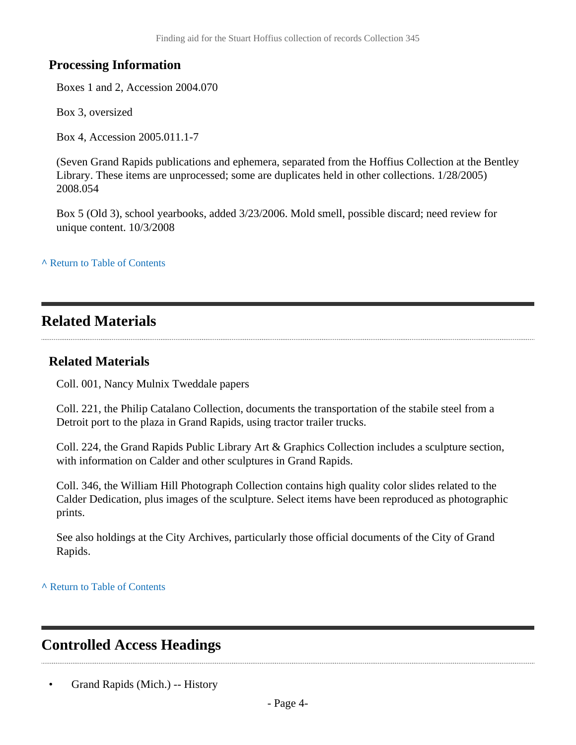### **Processing Information**

Boxes 1 and 2, Accession 2004.070

Box 3, oversized

Box 4, Accession 2005.011.1-7

(Seven Grand Rapids publications and ephemera, separated from the Hoffius Collection at the Bentley Library. These items are unprocessed; some are duplicates held in other collections. 1/28/2005) 2008.054

Box 5 (Old 3), school yearbooks, added 3/23/2006. Mold smell, possible discard; need review for unique content. 10/3/2008

**^** [Return to Table of Contents](#page-1-0)

# <span id="page-3-0"></span>**Related Materials**

### **Related Materials**

Coll. 001, Nancy Mulnix Tweddale papers

Coll. 221, the Philip Catalano Collection, documents the transportation of the stabile steel from a Detroit port to the plaza in Grand Rapids, using tractor trailer trucks.

Coll. 224, the Grand Rapids Public Library Art & Graphics Collection includes a sculpture section, with information on Calder and other sculptures in Grand Rapids.

Coll. 346, the William Hill Photograph Collection contains high quality color slides related to the Calder Dedication, plus images of the sculpture. Select items have been reproduced as photographic prints.

See also holdings at the City Archives, particularly those official documents of the City of Grand Rapids.

**^** [Return to Table of Contents](#page-1-0)

# <span id="page-3-1"></span>**Controlled Access Headings**

• Grand Rapids (Mich.) -- History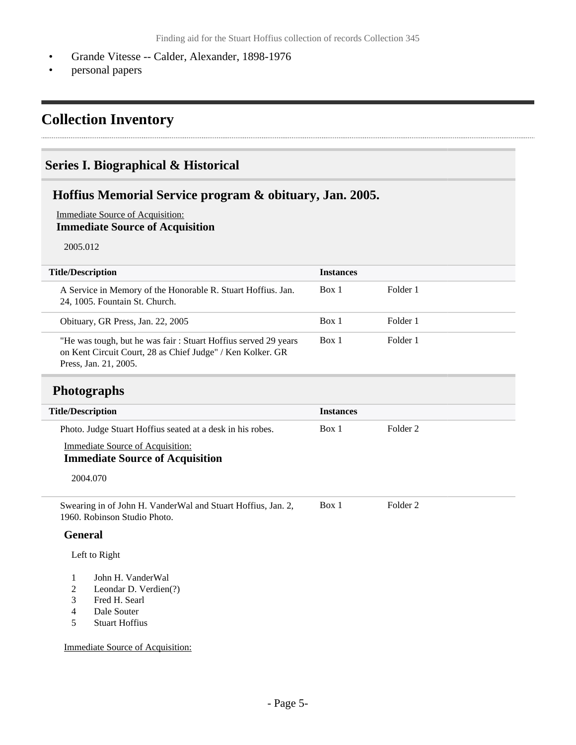- Grande Vitesse -- Calder, Alexander, 1898-1976
- personal papers

# <span id="page-4-0"></span>**Collection Inventory**

### <span id="page-4-1"></span>**Series I. Biographical & Historical**

### <span id="page-4-2"></span>**Hoffius Memorial Service program & obituary, Jan. 2005.**

Immediate Source of Acquisition: **Immediate Source of Acquisition**

2005.012

| <b>Title/Description</b>                                                                                                                              | <b>Instances</b> |          |
|-------------------------------------------------------------------------------------------------------------------------------------------------------|------------------|----------|
| A Service in Memory of the Honorable R. Stuart Hoffius. Jan.<br>24, 1005. Fountain St. Church.                                                        | Box 1            | Folder 1 |
| Obituary, GR Press, Jan. 22, 2005                                                                                                                     | Box 1            | Folder 1 |
| "He was tough, but he was fair: Stuart Hoffius served 29 years<br>on Kent Circuit Court, 28 as Chief Judge" / Ken Kolker. GR<br>Press, Jan. 21, 2005. | Box 1            | Folder 1 |

### <span id="page-4-3"></span>**Photographs**

| <b>Title/Description</b> |                                                                                              | <b>Instances</b> |                     |  |
|--------------------------|----------------------------------------------------------------------------------------------|------------------|---------------------|--|
|                          | Photo. Judge Stuart Hoffius seated at a desk in his robes.                                   | Box 1            | Folder <sub>2</sub> |  |
|                          | <b>Immediate Source of Acquisition:</b>                                                      |                  |                     |  |
|                          | <b>Immediate Source of Acquisition</b>                                                       |                  |                     |  |
|                          | 2004.070                                                                                     |                  |                     |  |
|                          | Swearing in of John H. VanderWal and Stuart Hoffius, Jan. 2,<br>1960. Robinson Studio Photo. | Box 1            | Folder 2            |  |
| <b>General</b>           |                                                                                              |                  |                     |  |
|                          | Left to Right                                                                                |                  |                     |  |
| 1                        | John H. VanderWal                                                                            |                  |                     |  |
| 2                        | Leondar D. Verdien(?)                                                                        |                  |                     |  |
| 3                        | Fred H. Searl                                                                                |                  |                     |  |
| 4                        | Dale Souter                                                                                  |                  |                     |  |
| 5                        | <b>Stuart Hoffius</b>                                                                        |                  |                     |  |

Immediate Source of Acquisition: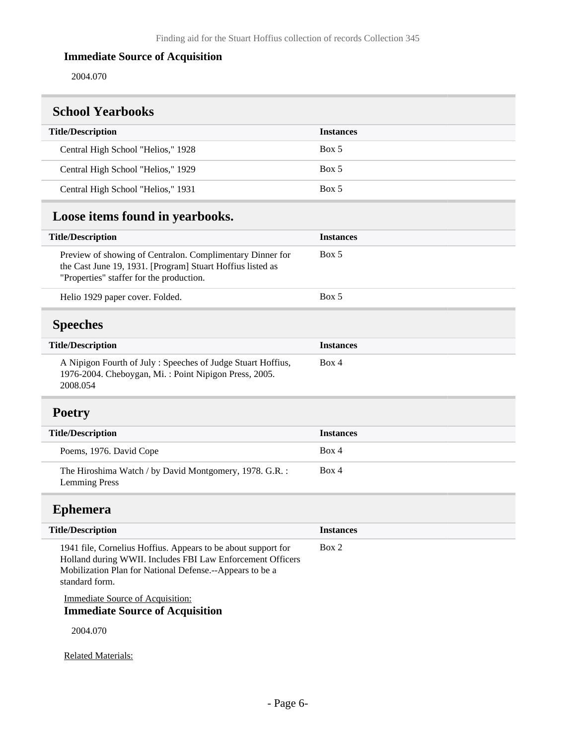### **Immediate Source of Acquisition**

2004.070

<span id="page-5-2"></span><span id="page-5-1"></span><span id="page-5-0"></span>

| <b>School Yearbooks</b>                                                                                                                                                                                   |                  |
|-----------------------------------------------------------------------------------------------------------------------------------------------------------------------------------------------------------|------------------|
| <b>Title/Description</b>                                                                                                                                                                                  | <b>Instances</b> |
| Central High School "Helios," 1928                                                                                                                                                                        | Box 5            |
| Central High School "Helios," 1929                                                                                                                                                                        | Box 5            |
| Central High School "Helios," 1931                                                                                                                                                                        | Box 5            |
| Loose items found in yearbooks.                                                                                                                                                                           |                  |
| <b>Title/Description</b>                                                                                                                                                                                  | <b>Instances</b> |
| Preview of showing of Centralon. Complimentary Dinner for<br>the Cast June 19, 1931. [Program] Stuart Hoffius listed as<br>"Properties" staffer for the production.                                       | Box 5            |
| Helio 1929 paper cover. Folded.                                                                                                                                                                           | Box 5            |
| <b>Speeches</b>                                                                                                                                                                                           |                  |
| <b>Title/Description</b>                                                                                                                                                                                  | <b>Instances</b> |
| A Nipigon Fourth of July: Speeches of Judge Stuart Hoffius,<br>1976-2004. Cheboygan, Mi.: Point Nipigon Press, 2005.<br>2008.054                                                                          | Box 4            |
| <b>Poetry</b>                                                                                                                                                                                             |                  |
| <b>Title/Description</b>                                                                                                                                                                                  | <b>Instances</b> |
| Poems, 1976. David Cope                                                                                                                                                                                   | Box 4            |
| The Hiroshima Watch / by David Montgomery, 1978. G.R. :<br><b>Lemming Press</b>                                                                                                                           | Box 4            |
| <b>Ephemera</b>                                                                                                                                                                                           |                  |
| <b>Title/Description</b>                                                                                                                                                                                  | <b>Instances</b> |
| 1941 file, Cornelius Hoffius. Appears to be about support for<br>Holland during WWII. Includes FBI Law Enforcement Officers<br>Mobilization Plan for National Defense.--Appears to be a<br>standard form. | Box 2            |
| <b>Immediate Source of Acquisition:</b><br><b>Immediate Source of Acquisition</b>                                                                                                                         |                  |

<span id="page-5-4"></span><span id="page-5-3"></span>2004.070

Related Materials: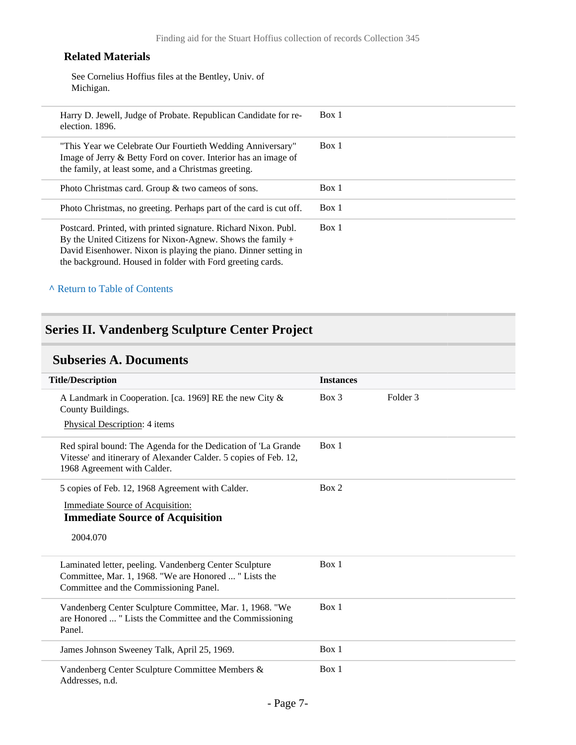#### **Related Materials**

See Cornelius Hoffius files at the Bentley, Univ. of Michigan.

| Box 1<br>Harry D. Jewell, Judge of Probate. Republican Candidate for re-<br>election. 1896.<br>Box 1<br>"This Year we Celebrate Our Fourtieth Wedding Anniversary"<br>Image of Jerry & Betty Ford on cover. Interior has an image of<br>the family, at least some, and a Christmas greeting.<br>Box 1<br>Photo Christmas card. Group $\&$ two cameos of sons.<br>Box 1<br>Photo Christmas, no greeting. Perhaps part of the card is cut off.<br>Box 1<br>Postcard. Printed, with printed signature. Richard Nixon. Publ.<br>By the United Citizens for Nixon-Agnew. Shows the family $+$<br>David Eisenhower. Nixon is playing the piano. Dinner setting in<br>the background. Housed in folder with Ford greeting cards. |  |  |
|---------------------------------------------------------------------------------------------------------------------------------------------------------------------------------------------------------------------------------------------------------------------------------------------------------------------------------------------------------------------------------------------------------------------------------------------------------------------------------------------------------------------------------------------------------------------------------------------------------------------------------------------------------------------------------------------------------------------------|--|--|
|                                                                                                                                                                                                                                                                                                                                                                                                                                                                                                                                                                                                                                                                                                                           |  |  |
|                                                                                                                                                                                                                                                                                                                                                                                                                                                                                                                                                                                                                                                                                                                           |  |  |
|                                                                                                                                                                                                                                                                                                                                                                                                                                                                                                                                                                                                                                                                                                                           |  |  |
|                                                                                                                                                                                                                                                                                                                                                                                                                                                                                                                                                                                                                                                                                                                           |  |  |
|                                                                                                                                                                                                                                                                                                                                                                                                                                                                                                                                                                                                                                                                                                                           |  |  |

#### **^** [Return to Table of Contents](#page-1-0)

# <span id="page-6-0"></span>**Series II. Vandenberg Sculpture Center Project**

# <span id="page-6-1"></span>**Subseries A. Documents**

| <b>Title/Description</b>                                                                                                                                         | <b>Instances</b> |          |
|------------------------------------------------------------------------------------------------------------------------------------------------------------------|------------------|----------|
| A Landmark in Cooperation. [ca. 1969] RE the new City &<br>County Buildings.<br>Physical Description: 4 items                                                    | $Box$ 3          | Folder 3 |
| Red spiral bound: The Agenda for the Dedication of 'La Grande<br>Vitesse' and itinerary of Alexander Calder. 5 copies of Feb. 12,<br>1968 Agreement with Calder. | Box 1            |          |
| 5 copies of Feb. 12, 1968 Agreement with Calder.<br><b>Immediate Source of Acquisition:</b><br><b>Immediate Source of Acquisition</b><br>2004.070                | Box 2            |          |
| Laminated letter, peeling. Vandenberg Center Sculpture<br>Committee, Mar. 1, 1968. "We are Honored  " Lists the<br>Committee and the Commissioning Panel.        | Box 1            |          |
| Vandenberg Center Sculpture Committee, Mar. 1, 1968. "We<br>are Honored  " Lists the Committee and the Commissioning<br>Panel.                                   | Box 1            |          |
| James Johnson Sweeney Talk, April 25, 1969.                                                                                                                      | Box 1            |          |
| Vandenberg Center Sculpture Committee Members &<br>Addresses, n.d.                                                                                               | Box 1            |          |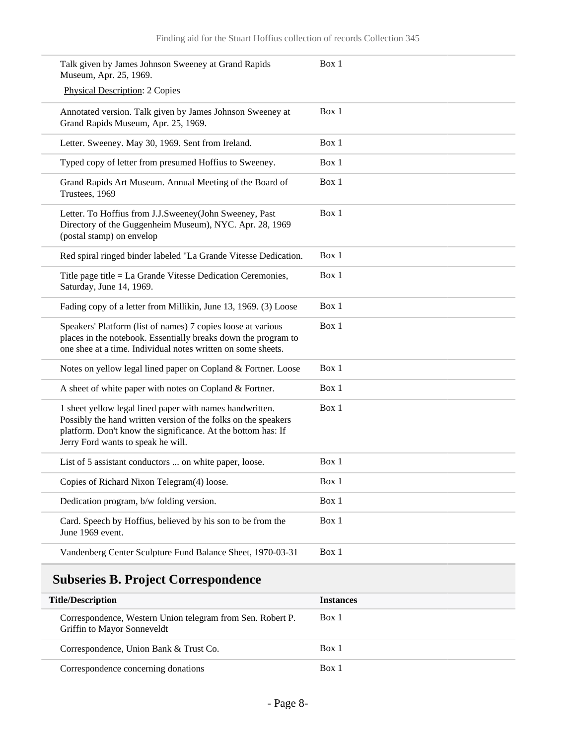| Talk given by James Johnson Sweeney at Grand Rapids<br>Museum, Apr. 25, 1969.                                                                                                                                                    | Box 1 |
|----------------------------------------------------------------------------------------------------------------------------------------------------------------------------------------------------------------------------------|-------|
| <b>Physical Description: 2 Copies</b>                                                                                                                                                                                            |       |
| Annotated version. Talk given by James Johnson Sweeney at<br>Grand Rapids Museum, Apr. 25, 1969.                                                                                                                                 | Box 1 |
| Letter. Sweeney. May 30, 1969. Sent from Ireland.                                                                                                                                                                                | Box 1 |
| Typed copy of letter from presumed Hoffius to Sweeney.                                                                                                                                                                           | Box 1 |
| Grand Rapids Art Museum. Annual Meeting of the Board of<br>Trustees, 1969                                                                                                                                                        | Box 1 |
| Letter. To Hoffius from J.J.Sweeney(John Sweeney, Past<br>Directory of the Guggenheim Museum), NYC. Apr. 28, 1969<br>(postal stamp) on envelop                                                                                   | Box 1 |
| Red spiral ringed binder labeled "La Grande Vitesse Dedication.                                                                                                                                                                  | Box 1 |
| Title page title = La Grande Vitesse Dedication Ceremonies,<br>Saturday, June 14, 1969.                                                                                                                                          | Box 1 |
| Fading copy of a letter from Millikin, June 13, 1969. (3) Loose                                                                                                                                                                  | Box 1 |
| Speakers' Platform (list of names) 7 copies loose at various<br>places in the notebook. Essentially breaks down the program to<br>one shee at a time. Individual notes written on some sheets.                                   | Box 1 |
| Notes on yellow legal lined paper on Copland & Fortner. Loose                                                                                                                                                                    | Box 1 |
| A sheet of white paper with notes on Copland & Fortner.                                                                                                                                                                          | Box 1 |
| 1 sheet yellow legal lined paper with names handwritten.<br>Possibly the hand written version of the folks on the speakers<br>platform. Don't know the significance. At the bottom has: If<br>Jerry Ford wants to speak he will. | Box 1 |
| List of 5 assistant conductors  on white paper, loose.                                                                                                                                                                           | Box 1 |
| Copies of Richard Nixon Telegram(4) loose.                                                                                                                                                                                       | Box 1 |
| Dedication program, b/w folding version.                                                                                                                                                                                         | Box 1 |
| Card. Speech by Hoffius, believed by his son to be from the<br>June 1969 event.                                                                                                                                                  | Box 1 |
| Vandenberg Center Sculpture Fund Balance Sheet, 1970-03-31                                                                                                                                                                       | Box 1 |
|                                                                                                                                                                                                                                  |       |

# <span id="page-7-0"></span>**Subseries B. Project Correspondence**

| <b>Title/Description</b>                                                                  | <i><u><b>Instances</b></u></i> |
|-------------------------------------------------------------------------------------------|--------------------------------|
| Correspondence, Western Union telegram from Sen. Robert P.<br>Griffin to Mayor Sonneveldt | Box 1                          |
| Correspondence, Union Bank & Trust Co.                                                    | Box 1                          |
| Correspondence concerning donations                                                       | Box 1                          |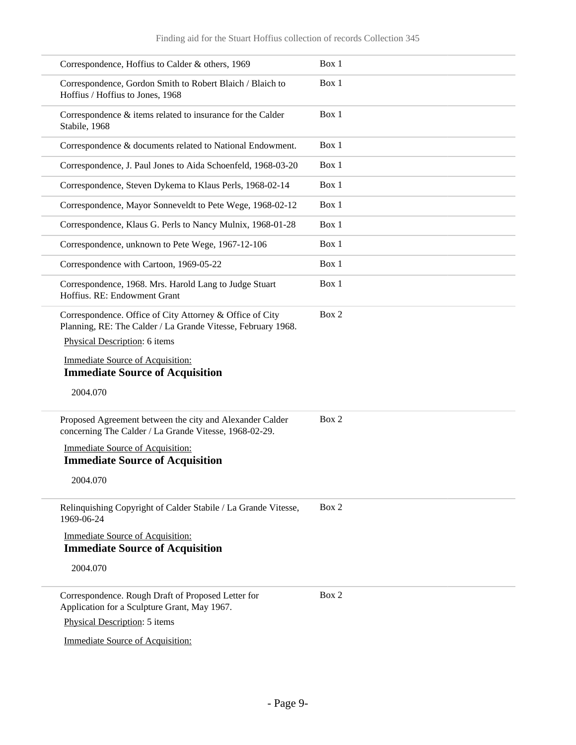| Correspondence, Hoffius to Calder & others, 1969                                                                         | Box 1 |
|--------------------------------------------------------------------------------------------------------------------------|-------|
| Correspondence, Gordon Smith to Robert Blaich / Blaich to<br>Hoffius / Hoffius to Jones, 1968                            | Box 1 |
| Correspondence & items related to insurance for the Calder<br>Stabile, 1968                                              | Box 1 |
| Correspondence & documents related to National Endowment.                                                                | Box 1 |
| Correspondence, J. Paul Jones to Aida Schoenfeld, 1968-03-20                                                             | Box 1 |
| Correspondence, Steven Dykema to Klaus Perls, 1968-02-14                                                                 | Box 1 |
| Correspondence, Mayor Sonneveldt to Pete Wege, 1968-02-12                                                                | Box 1 |
| Correspondence, Klaus G. Perls to Nancy Mulnix, 1968-01-28                                                               | Box 1 |
| Correspondence, unknown to Pete Wege, 1967-12-106                                                                        | Box 1 |
| Correspondence with Cartoon, 1969-05-22                                                                                  | Box 1 |
| Correspondence, 1968. Mrs. Harold Lang to Judge Stuart<br>Hoffius. RE: Endowment Grant                                   | Box 1 |
| Correspondence. Office of City Attorney & Office of City<br>Planning, RE: The Calder / La Grande Vitesse, February 1968. | Box 2 |
| Physical Description: 6 items                                                                                            |       |
| <b>Immediate Source of Acquisition:</b><br><b>Immediate Source of Acquisition</b>                                        |       |
|                                                                                                                          |       |
| 2004.070                                                                                                                 |       |
| Proposed Agreement between the city and Alexander Calder<br>concerning The Calder / La Grande Vitesse, 1968-02-29.       | Box 2 |
| <b>Immediate Source of Acquisition:</b><br><b>Immediate Source of Acquisition</b>                                        |       |
| 2004.070                                                                                                                 |       |
| Relinquishing Copyright of Calder Stabile / La Grande Vitesse,<br>1969-06-24                                             | Box 2 |
| <b>Immediate Source of Acquisition:</b><br><b>Immediate Source of Acquisition</b>                                        |       |
| 2004.070                                                                                                                 |       |
| Correspondence. Rough Draft of Proposed Letter for<br>Application for a Sculpture Grant, May 1967.                       | Box 2 |
| Physical Description: 5 items                                                                                            |       |
|                                                                                                                          |       |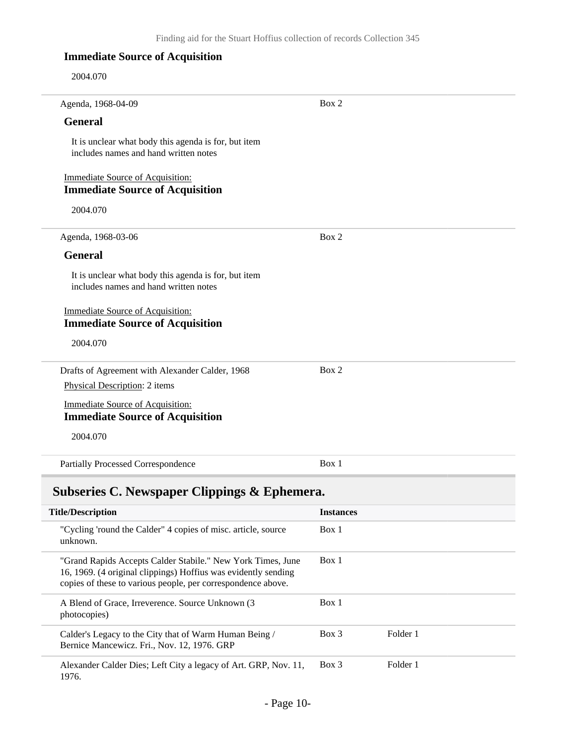### **Immediate Source of Acquisition**

2004.070

| Agenda, 1968-04-09                                                                            | Box 2 |
|-----------------------------------------------------------------------------------------------|-------|
| <b>General</b>                                                                                |       |
| It is unclear what body this agenda is for, but item<br>includes names and hand written notes |       |
| <b>Immediate Source of Acquisition:</b><br><b>Immediate Source of Acquisition</b>             |       |
| 2004.070                                                                                      |       |
| Agenda, 1968-03-06                                                                            | Box 2 |
| <b>General</b>                                                                                |       |
| It is unclear what body this agenda is for, but item<br>includes names and hand written notes |       |
| <b>Immediate Source of Acquisition:</b><br><b>Immediate Source of Acquisition</b>             |       |
| 2004.070                                                                                      |       |
| Drafts of Agreement with Alexander Calder, 1968                                               | Box 2 |
| Physical Description: 2 items                                                                 |       |
| <b>Immediate Source of Acquisition:</b><br><b>Immediate Source of Acquisition</b>             |       |
| 2004.070                                                                                      |       |
| <b>Partially Processed Correspondence</b>                                                     | Box 1 |

# <span id="page-9-0"></span>**Subseries C. Newspaper Clippings & Ephemera.**

| <b>Title/Description</b>                                                                                                                                                                      | <b>Instances</b>  |
|-----------------------------------------------------------------------------------------------------------------------------------------------------------------------------------------------|-------------------|
| "Cycling 'round the Calder" 4 copies of misc. article, source<br>unknown.                                                                                                                     | Box 1             |
| "Grand Rapids Accepts Calder Stabile." New York Times, June<br>16, 1969. (4 original clippings) Hoffius was evidently sending<br>copies of these to various people, per correspondence above. | Box 1             |
| A Blend of Grace, Irreverence. Source Unknown (3)<br>photocopies)                                                                                                                             | Box 1             |
| Calder's Legacy to the City that of Warm Human Being /<br>Bernice Mancewicz. Fri., Nov. 12, 1976. GRP                                                                                         | Folder 1<br>Box 3 |
| Alexander Calder Dies; Left City a legacy of Art. GRP, Nov. 11,<br>1976.                                                                                                                      | Folder 1<br>Box 3 |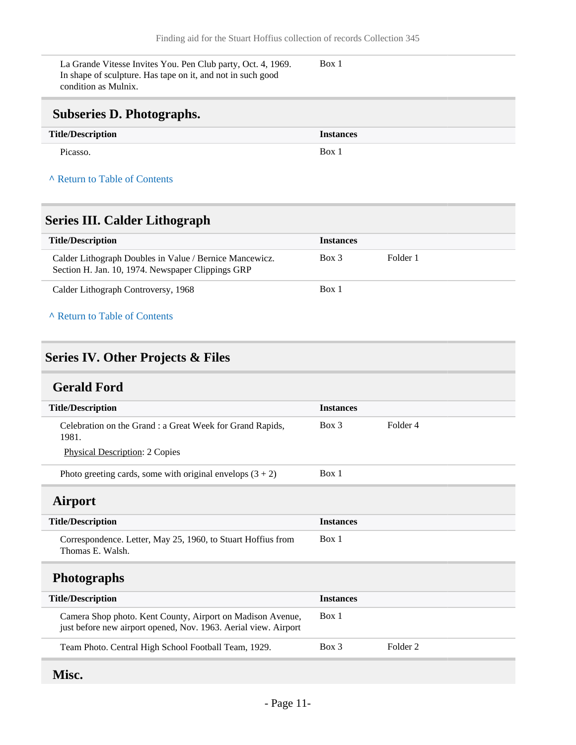La Grande Vitesse Invites You. Pen Club party, Oct. 4, 1969. In shape of sculpture. Has tape on it, and not in such good condition as Mulnix.

Box 1

# <span id="page-10-0"></span>**Subseries D. Photographs.**

| <b>Title/Description</b> | <b>Instances</b> |
|--------------------------|------------------|
| Picasso.                 | Box 1            |

#### **^** [Return to Table of Contents](#page-1-0)

# <span id="page-10-1"></span>**Series III. Calder Lithograph**

| <b>Title/Description</b>                                                                                     | <b>Instances</b> |          |
|--------------------------------------------------------------------------------------------------------------|------------------|----------|
| Calder Lithograph Doubles in Value / Bernice Mancewicz.<br>Section H. Jan. 10, 1974. Newspaper Clippings GRP | Box 3            | Folder 1 |
| Calder Lithograph Controversy, 1968                                                                          | Box 1            |          |

#### **^** [Return to Table of Contents](#page-1-0)

## <span id="page-10-2"></span>**Series IV. Other Projects & Files**

# <span id="page-10-3"></span>**Gerald Ford**

<span id="page-10-4"></span>

| <b>Title/Description</b>                                                                                                      | <b>Instances</b> |                     |
|-------------------------------------------------------------------------------------------------------------------------------|------------------|---------------------|
| Celebration on the Grand : a Great Week for Grand Rapids,<br>1981.                                                            | $Box\ 3$         | Folder 4            |
| <b>Physical Description: 2 Copies</b>                                                                                         |                  |                     |
| Photo greeting cards, some with original envelops $(3 + 2)$                                                                   | Box 1            |                     |
| <b>Airport</b>                                                                                                                |                  |                     |
| <b>Title/Description</b>                                                                                                      | <b>Instances</b> |                     |
| Correspondence. Letter, May 25, 1960, to Stuart Hoffius from<br>Thomas E. Walsh.                                              | Box 1            |                     |
| <b>Photographs</b>                                                                                                            |                  |                     |
| <b>Title/Description</b>                                                                                                      | <b>Instances</b> |                     |
| Camera Shop photo. Kent County, Airport on Madison Avenue,<br>just before new airport opened, Nov. 1963. Aerial view. Airport | Box 1            |                     |
| Team Photo. Central High School Football Team, 1929.                                                                          | $Box$ 3          | Folder <sub>2</sub> |
|                                                                                                                               |                  |                     |

# <span id="page-10-6"></span><span id="page-10-5"></span>**Misc.**